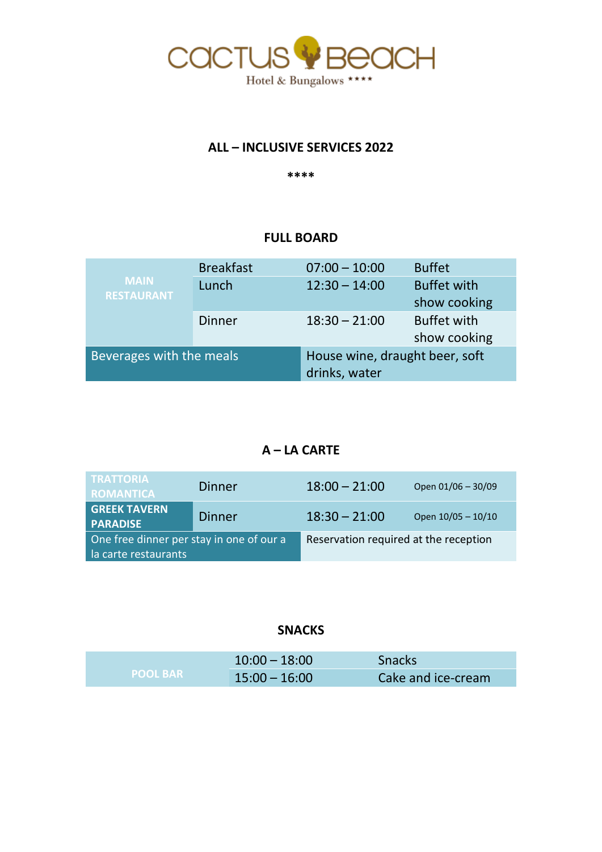

## **ALL – INCLUSIVE SERVICES 2022**

**\*\*\*\***

### **FULL BOARD**

| <b>MAIN</b><br><b>RESTAURANT</b> | <b>Breakfast</b> | $07:00 - 10:00$                | <b>Buffet</b>      |
|----------------------------------|------------------|--------------------------------|--------------------|
|                                  | Lunch            | $12:30 - 14:00$                | <b>Buffet with</b> |
|                                  |                  |                                | show cooking       |
|                                  | Dinner           | $18:30 - 21:00$                | <b>Buffet with</b> |
|                                  |                  |                                | show cooking       |
| Beverages with the meals         |                  | House wine, draught beer, soft |                    |
|                                  |                  | drinks, water                  |                    |

# **A – LA CARTE**

| <b>TRATTORIA</b><br><b>ROMANTICA</b>                             | Dinner        | $18:00 - 21:00$                       | Open 01/06 - 30/09 |
|------------------------------------------------------------------|---------------|---------------------------------------|--------------------|
| <b>GREEK TAVERN</b><br><b>PARADISE</b>                           | <b>Dinner</b> | $18:30 - 21:00$                       | Open 10/05 - 10/10 |
| One free dinner per stay in one of our a<br>la carte restaurants |               | Reservation required at the reception |                    |

# **SNACKS**

| <b>POOL BAR</b> | $10:00 - 18:00$ | <b>Snacks</b>      |
|-----------------|-----------------|--------------------|
|                 | $15:00 - 16:00$ | Cake and ice-cream |